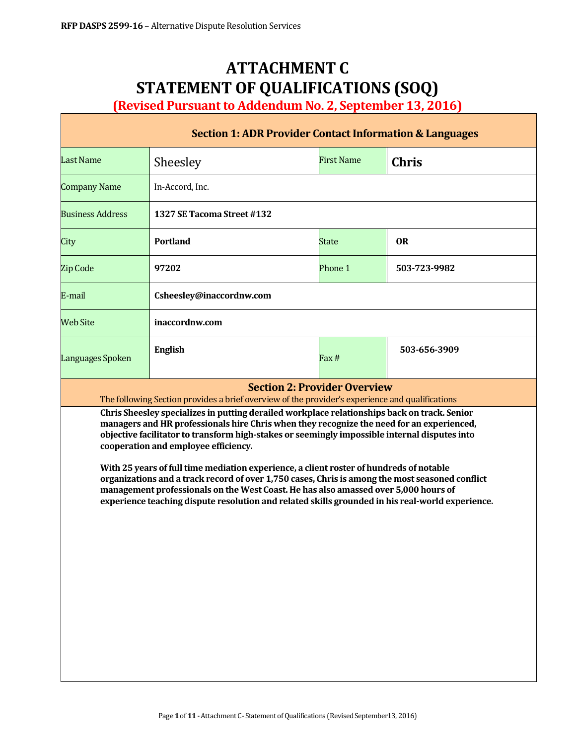# **ATTACHMENT C STATEMENT OF QUALIFICATIONS (SOQ)**

**(Revised Pursuant to Addendum No. 2, September 13, 2016)**

| <b>Section 1: ADR Provider Contact Information &amp; Languages</b>                                                                                                                                                                                                                                                                                                                                                                                                                                                                                                                                                                                                                                                          |                                                                                                                                        |                   |              |  |  |  |
|-----------------------------------------------------------------------------------------------------------------------------------------------------------------------------------------------------------------------------------------------------------------------------------------------------------------------------------------------------------------------------------------------------------------------------------------------------------------------------------------------------------------------------------------------------------------------------------------------------------------------------------------------------------------------------------------------------------------------------|----------------------------------------------------------------------------------------------------------------------------------------|-------------------|--------------|--|--|--|
| <b>Last Name</b>                                                                                                                                                                                                                                                                                                                                                                                                                                                                                                                                                                                                                                                                                                            | Sheesley                                                                                                                               | <b>First Name</b> | <b>Chris</b> |  |  |  |
| <b>Company Name</b>                                                                                                                                                                                                                                                                                                                                                                                                                                                                                                                                                                                                                                                                                                         | In-Accord, Inc.                                                                                                                        |                   |              |  |  |  |
| <b>Business Address</b>                                                                                                                                                                                                                                                                                                                                                                                                                                                                                                                                                                                                                                                                                                     | 1327 SE Tacoma Street #132                                                                                                             |                   |              |  |  |  |
| City                                                                                                                                                                                                                                                                                                                                                                                                                                                                                                                                                                                                                                                                                                                        | <b>Portland</b>                                                                                                                        | <b>State</b>      | <b>OR</b>    |  |  |  |
| Zip Code                                                                                                                                                                                                                                                                                                                                                                                                                                                                                                                                                                                                                                                                                                                    | 97202                                                                                                                                  | Phone 1           | 503-723-9982 |  |  |  |
| E-mail                                                                                                                                                                                                                                                                                                                                                                                                                                                                                                                                                                                                                                                                                                                      | Csheesley@inaccordnw.com                                                                                                               |                   |              |  |  |  |
| <b>Web Site</b>                                                                                                                                                                                                                                                                                                                                                                                                                                                                                                                                                                                                                                                                                                             | inaccordnw.com                                                                                                                         |                   |              |  |  |  |
| Languages Spoken                                                                                                                                                                                                                                                                                                                                                                                                                                                                                                                                                                                                                                                                                                            | <b>English</b>                                                                                                                         | Fax#              | 503-656-3909 |  |  |  |
|                                                                                                                                                                                                                                                                                                                                                                                                                                                                                                                                                                                                                                                                                                                             | <b>Section 2: Provider Overview</b><br>The following Section provides a brief overview of the provider's experience and qualifications |                   |              |  |  |  |
| Chris Sheesley specializes in putting derailed workplace relationships back on track. Senior<br>managers and HR professionals hire Chris when they recognize the need for an experienced,<br>objective facilitator to transform high-stakes or seemingly impossible internal disputes into<br>cooperation and employee efficiency.<br>With 25 years of full time mediation experience, a client roster of hundreds of notable<br>organizations and a track record of over 1,750 cases, Chris is among the most seasoned conflict<br>management professionals on the West Coast. He has also amassed over 5,000 hours of<br>experience teaching dispute resolution and related skills grounded in his real-world experience. |                                                                                                                                        |                   |              |  |  |  |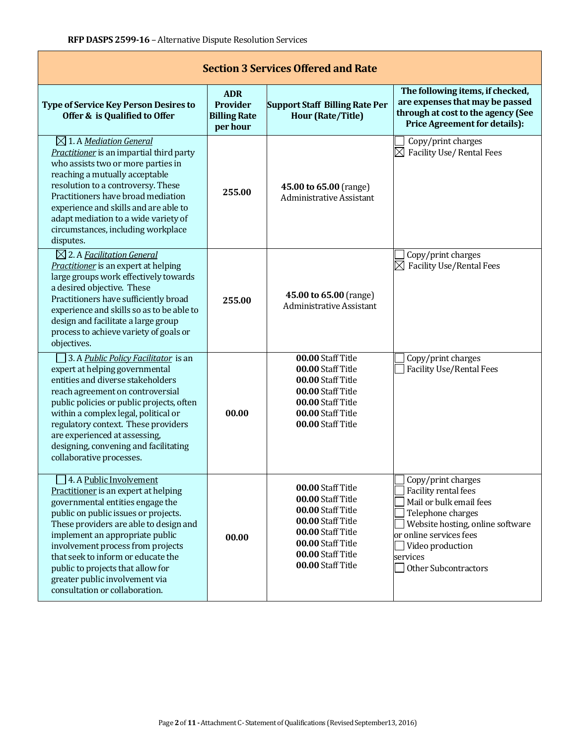| <b>Section 3 Services Offered and Rate</b>                                                                                                                                                                                                                                                                                                                                                                   |                                                                  |                                                                                                                                                                      |                                                                                                                                                                                                                   |  |  |  |  |
|--------------------------------------------------------------------------------------------------------------------------------------------------------------------------------------------------------------------------------------------------------------------------------------------------------------------------------------------------------------------------------------------------------------|------------------------------------------------------------------|----------------------------------------------------------------------------------------------------------------------------------------------------------------------|-------------------------------------------------------------------------------------------------------------------------------------------------------------------------------------------------------------------|--|--|--|--|
| <b>Type of Service Key Person Desires to</b><br>Offer & is Qualified to Offer                                                                                                                                                                                                                                                                                                                                | <b>ADR</b><br><b>Provider</b><br><b>Billing Rate</b><br>per hour | <b>Support Staff Billing Rate Per</b><br><b>Hour (Rate/Title)</b>                                                                                                    | The following items, if checked,<br>are expenses that may be passed<br>through at cost to the agency (See<br><b>Price Agreement for details):</b>                                                                 |  |  |  |  |
| $\boxtimes$ 1. A Mediation General<br>Practitioner is an impartial third party<br>who assists two or more parties in<br>reaching a mutually acceptable<br>resolution to a controversy. These<br>Practitioners have broad mediation<br>experience and skills and are able to<br>adapt mediation to a wide variety of<br>circumstances, including workplace<br>disputes.                                       | 255.00                                                           | 45.00 to 65.00 (range)<br><b>Administrative Assistant</b>                                                                                                            | Copy/print charges<br>Facility Use/ Rental Fees                                                                                                                                                                   |  |  |  |  |
| $\boxtimes$ 2. A Facilitation General<br>Practitioner is an expert at helping<br>large groups work effectively towards<br>a desired objective. These<br>Practitioners have sufficiently broad<br>experience and skills so as to be able to<br>design and facilitate a large group<br>process to achieve variety of goals or<br>objectives.                                                                   | 255.00                                                           | 45.00 to 65.00 (range)<br>Administrative Assistant                                                                                                                   | Copy/print charges<br><b>Facility Use/Rental Fees</b>                                                                                                                                                             |  |  |  |  |
| 3. A Public Policy Facilitator is an<br>expert at helping governmental<br>entities and diverse stakeholders<br>reach agreement on controversial<br>public policies or public projects, often<br>within a complex legal, political or<br>regulatory context. These providers<br>are experienced at assessing,<br>designing, convening and facilitating<br>collaborative processes.                            | 00.00                                                            | 00.00 Staff Title<br>00.00 Staff Title<br>00.00 Staff Title<br>00.00 Staff Title<br>00.00 Staff Title<br>00.00 Staff Title<br>00.00 Staff Title                      | Copy/print charges<br><b>Facility Use/Rental Fees</b>                                                                                                                                                             |  |  |  |  |
| 4. A Public Involvement<br>Practitioner is an expert at helping<br>governmental entities engage the<br>public on public issues or projects.<br>These providers are able to design and<br>implement an appropriate public<br>involvement process from projects<br>that seek to inform or educate the<br>public to projects that allow for<br>greater public involvement via<br>consultation or collaboration. | 00.00                                                            | 00.00 Staff Title<br>00.00 Staff Title<br>00.00 Staff Title<br>00.00 Staff Title<br>00.00 Staff Title<br>00.00 Staff Title<br>00.00 Staff Title<br>00.00 Staff Title | Copy/print charges<br>Facility rental fees<br>Mail or bulk email fees<br>Telephone charges<br>Website hosting, online software<br>or online services fees<br>Video production<br>services<br>Other Subcontractors |  |  |  |  |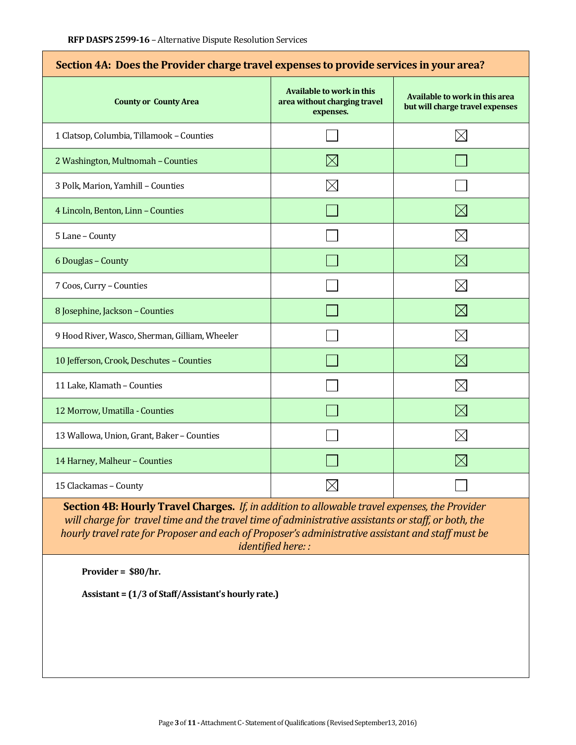| Section 4A: Does the Provider charge travel expenses to provide services in your area? |                                                                               |                                                                   |  |  |  |
|----------------------------------------------------------------------------------------|-------------------------------------------------------------------------------|-------------------------------------------------------------------|--|--|--|
| <b>County or County Area</b>                                                           | <b>Available to work in this</b><br>area without charging travel<br>expenses. | Available to work in this area<br>but will charge travel expenses |  |  |  |
| 1 Clatsop, Columbia, Tillamook - Counties                                              |                                                                               | $\times$                                                          |  |  |  |
| 2 Washington, Multnomah - Counties                                                     | $\boxtimes$                                                                   |                                                                   |  |  |  |
| 3 Polk, Marion, Yamhill - Counties                                                     |                                                                               |                                                                   |  |  |  |
| 4 Lincoln, Benton, Linn - Counties                                                     |                                                                               | $\boxtimes$                                                       |  |  |  |
| 5 Lane - County                                                                        |                                                                               | $\times$                                                          |  |  |  |
| 6 Douglas - County                                                                     |                                                                               | $\boxtimes$                                                       |  |  |  |
| 7 Coos, Curry - Counties                                                               |                                                                               | $\boxtimes$                                                       |  |  |  |
| 8 Josephine, Jackson - Counties                                                        |                                                                               | $\boxtimes$                                                       |  |  |  |
| 9 Hood River, Wasco, Sherman, Gilliam, Wheeler                                         |                                                                               | $\times$                                                          |  |  |  |
| 10 Jefferson, Crook, Deschutes - Counties                                              |                                                                               | $\boxtimes$                                                       |  |  |  |
| 11 Lake, Klamath - Counties                                                            |                                                                               | $\times$                                                          |  |  |  |
| 12 Morrow, Umatilla - Counties                                                         |                                                                               | $\boxtimes$                                                       |  |  |  |
| 13 Wallowa, Union, Grant, Baker - Counties                                             |                                                                               | $\boxtimes$                                                       |  |  |  |
| 14 Harney, Malheur - Counties                                                          |                                                                               | $\boxtimes$                                                       |  |  |  |
| 15 Clackamas - County                                                                  |                                                                               |                                                                   |  |  |  |

### **Section 4A: Does the Provider charge travel expenses to provide services in your area?**

**Section 4B: Hourly Travel Charges.** *If, in addition to allowable travel expenses, the Provider will charge for travel time and the travel time of administrative assistants or staff, or both, the hourly travel rate for Proposer and each of Proposer's administrative assistant and staff must be identified here: :*

**Provider = \$80/hr.**

**Assistant = (1/3 of Staff/Assistant's hourly rate.)**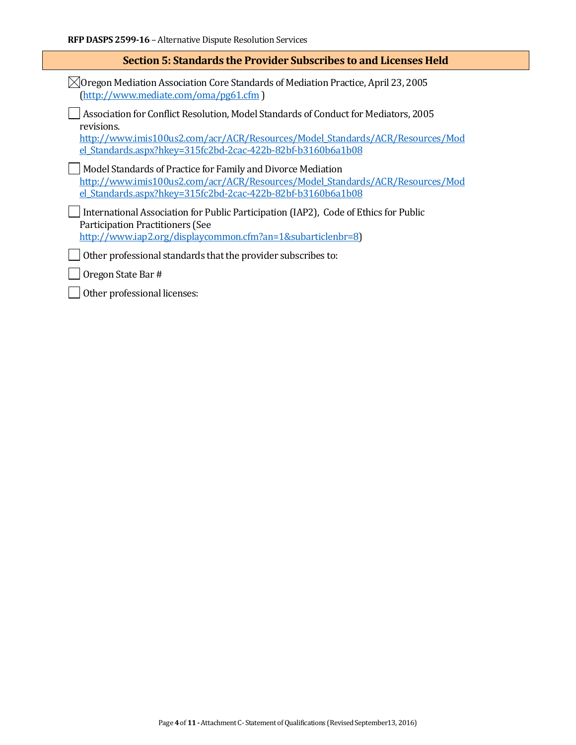| Section 5: Standards the Provider Subscribes to and Licenses Held                                                                                                                                                                                 |  |  |  |
|---------------------------------------------------------------------------------------------------------------------------------------------------------------------------------------------------------------------------------------------------|--|--|--|
| $\sqrt[3]{\rm{O}}$ regon Mediation Association Core Standards of Mediation Practice, April 23, 2005<br>(http://www.mediate.com/oma/pg61.cfm)                                                                                                      |  |  |  |
| Association for Conflict Resolution, Model Standards of Conduct for Mediators, 2005<br>revisions.<br>http://www.imis100us2.com/acr/ACR/Resources/Model Standards/ACR/Resources/Mod<br>el Standards.aspx?hkey=315fc2bd-2cac-422b-82bf-b3160b6a1b08 |  |  |  |
| Model Standards of Practice for Family and Divorce Mediation<br>http://www.imis100us2.com/acr/ACR/Resources/Model Standards/ACR/Resources/Mod<br>el Standards.aspx?hkey=315fc2bd-2cac-422b-82bf-b3160b6a1b08                                      |  |  |  |
| International Association for Public Participation (IAP2), Code of Ethics for Public<br><b>Participation Practitioners (See</b><br>http://www.iap2.org/displaycommon.cfm?an=1&subarticlenbr=8)                                                    |  |  |  |
| Other professional standards that the provider subscribes to:                                                                                                                                                                                     |  |  |  |
| Oregon State Bar #                                                                                                                                                                                                                                |  |  |  |
| Other professional licenses:                                                                                                                                                                                                                      |  |  |  |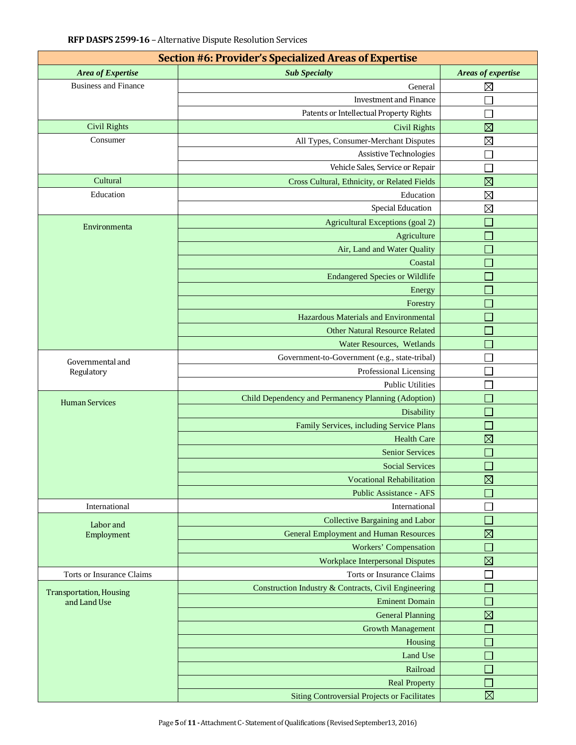| <b>Section #6: Provider's Specialized Areas of Expertise</b> |                                                      |                             |  |  |  |  |  |
|--------------------------------------------------------------|------------------------------------------------------|-----------------------------|--|--|--|--|--|
| Area of Expertise                                            | <b>Sub Specialty</b>                                 | Areas of expertise          |  |  |  |  |  |
| <b>Business and Finance</b>                                  | General                                              | $\boxtimes$                 |  |  |  |  |  |
|                                                              | <b>Investment and Finance</b>                        |                             |  |  |  |  |  |
|                                                              | Patents or Intellectual Property Rights              |                             |  |  |  |  |  |
| <b>Civil Rights</b>                                          | <b>Civil Rights</b>                                  | $\boxtimes$                 |  |  |  |  |  |
| Consumer                                                     | All Types, Consumer-Merchant Disputes                | $\boxtimes$                 |  |  |  |  |  |
|                                                              | <b>Assistive Technologies</b>                        |                             |  |  |  |  |  |
|                                                              | Vehicle Sales, Service or Repair                     |                             |  |  |  |  |  |
| Cultural                                                     | Cross Cultural, Ethnicity, or Related Fields         | $\boxtimes$                 |  |  |  |  |  |
| Education                                                    | Education                                            | $\boxtimes$                 |  |  |  |  |  |
|                                                              | <b>Special Education</b>                             | $\boxtimes$                 |  |  |  |  |  |
| Environmenta                                                 | Agricultural Exceptions (goal 2)                     |                             |  |  |  |  |  |
|                                                              | Agriculture                                          |                             |  |  |  |  |  |
|                                                              | Air, Land and Water Quality                          | $\mathcal{L}$               |  |  |  |  |  |
|                                                              | Coastal                                              | $\mathbb{R}^2$              |  |  |  |  |  |
|                                                              | <b>Endangered Species or Wildlife</b>                | Т.                          |  |  |  |  |  |
|                                                              | Energy                                               |                             |  |  |  |  |  |
|                                                              | Forestry                                             |                             |  |  |  |  |  |
|                                                              | Hazardous Materials and Environmental                | $\mathcal{L}_{\mathcal{A}}$ |  |  |  |  |  |
|                                                              | <b>Other Natural Resource Related</b>                |                             |  |  |  |  |  |
|                                                              | Water Resources, Wetlands                            | Т.                          |  |  |  |  |  |
| Governmental and                                             | Government-to-Government (e.g., state-tribal)        |                             |  |  |  |  |  |
| Regulatory                                                   | Professional Licensing                               |                             |  |  |  |  |  |
|                                                              | <b>Public Utilities</b>                              |                             |  |  |  |  |  |
| <b>Human Services</b>                                        | Child Dependency and Permanency Planning (Adoption)  |                             |  |  |  |  |  |
|                                                              | Disability                                           | Т.                          |  |  |  |  |  |
|                                                              | Family Services, including Service Plans             |                             |  |  |  |  |  |
|                                                              | <b>Health Care</b>                                   | $\boxtimes$                 |  |  |  |  |  |
|                                                              | <b>Senior Services</b>                               | $\Box$                      |  |  |  |  |  |
|                                                              | <b>Social Services</b>                               |                             |  |  |  |  |  |
|                                                              | <b>Vocational Rehabilitation</b>                     | $\boxtimes$                 |  |  |  |  |  |
|                                                              | <b>Public Assistance - AFS</b>                       |                             |  |  |  |  |  |
| International                                                | International                                        |                             |  |  |  |  |  |
| Labor and                                                    | <b>Collective Bargaining and Labor</b>               |                             |  |  |  |  |  |
| Employment                                                   | <b>General Employment and Human Resources</b>        | $\boxtimes$                 |  |  |  |  |  |
|                                                              | <b>Workers' Compensation</b>                         | m.                          |  |  |  |  |  |
|                                                              | <b>Workplace Interpersonal Disputes</b>              | $\boxtimes$                 |  |  |  |  |  |
| Torts or Insurance Claims                                    | Torts or Insurance Claims                            |                             |  |  |  |  |  |
| <b>Transportation, Housing</b>                               | Construction Industry & Contracts, Civil Engineering |                             |  |  |  |  |  |
| and Land Use                                                 | <b>Eminent Domain</b>                                |                             |  |  |  |  |  |
|                                                              | <b>General Planning</b>                              | $\boxtimes$                 |  |  |  |  |  |
|                                                              | <b>Growth Management</b>                             |                             |  |  |  |  |  |
|                                                              | Housing                                              |                             |  |  |  |  |  |
|                                                              | Land Use                                             |                             |  |  |  |  |  |
|                                                              | Railroad                                             |                             |  |  |  |  |  |
|                                                              | <b>Real Property</b>                                 | ×.                          |  |  |  |  |  |
|                                                              | <b>Siting Controversial Projects or Facilitates</b>  | $\boxtimes$                 |  |  |  |  |  |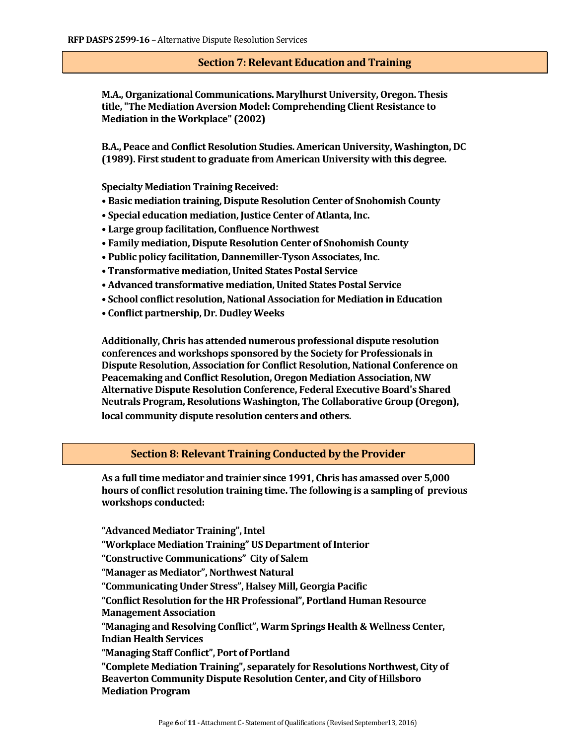#### **Section 7: Relevant Education and Training**

**M.A., Organizational Communications. Marylhurst University, Oregon. Thesis title, "The Mediation Aversion Model: Comprehending Client Resistance to Mediation in the Workplace" (2002)**

**B.A., Peace and Conflict Resolution Studies. American University, Washington, DC (1989). First student to graduate from American University with this degree.**

**Specialty Mediation Training Received:**

- **Basic mediation training, Dispute Resolution Center of Snohomish County**
- **Special education mediation, Justice Center of Atlanta, Inc.**
- **Large group facilitation, Confluence Northwest**
- **Family mediation, Dispute Resolution Center of Snohomish County**
- **Public policy facilitation, Dannemiller-Tyson Associates, Inc.**
- **Transformative mediation, United States Postal Service**
- **Advanced transformative mediation, United States Postal Service**
- **School conflict resolution, National Association for Mediation in Education**
- **Conflict partnership, Dr. Dudley Weeks**

**Additionally, Chris has attended numerous professional dispute resolution conferences and workshops sponsored by the Society for Professionals in Dispute Resolution, Association for Conflict Resolution, National Conference on Peacemaking and Conflict Resolution, Oregon Mediation Association, NW Alternative Dispute Resolution Conference, Federal Executive Board's Shared Neutrals Program, Resolutions Washington, The Collaborative Group (Oregon), local community dispute resolution centers and others.**

#### **Section 8: Relevant Training Conducted by the Provider**

**As a full time mediator and trainier since 1991, Chris has amassed over 5,000 hours of conflict resolution training time. The following is a sampling of previous workshops conducted:**

**"Advanced Mediator Training", Intel "Workplace Mediation Training" US Department of Interior "Constructive Communications" City of Salem "Manager as Mediator", Northwest Natural "Communicating Under Stress", Halsey Mill, Georgia Pacific "Conflict Resolution for the HR Professional", Portland Human Resource Management Association "Managing and Resolving Conflict", Warm Springs Health & Wellness Center, Indian Health Services "Managing Staff Conflict", Port of Portland "Complete Mediation Training", separately for Resolutions Northwest, City of Beaverton Community Dispute Resolution Center, and City of Hillsboro Mediation Program**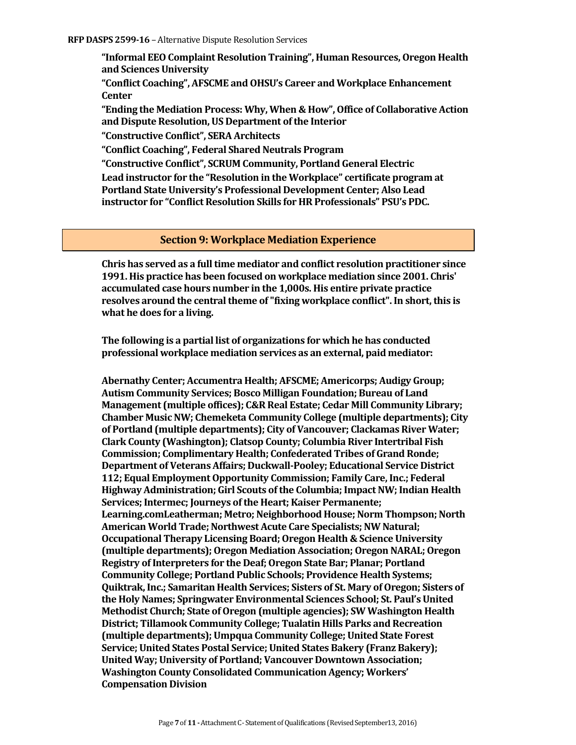**"Informal EEO Complaint Resolution Training", Human Resources, Oregon Health and Sciences University**

**"Conflict Coaching", AFSCME and OHSU's Career and Workplace Enhancement Center**

**"Ending the Mediation Process: Why, When & How", Office of Collaborative Action and Dispute Resolution, US Department of the Interior**

**"Constructive Conflict", SERA Architects**

**"Conflict Coaching", Federal Shared Neutrals Program** 

**"Constructive Conflict", SCRUM Community, Portland General Electric**

**Lead instructor for the "Resolution in the Workplace" certificate program at Portland State University's Professional Development Center; Also Lead instructor for "Conflict Resolution Skills for HR Professionals" PSU's PDC.**

#### **Section 9: Workplace Mediation Experience**

**Chris has served as a full time mediator and conflict resolution practitioner since 1991. His practice has been focused on workplace mediation since 2001. Chris' accumulated case hours number in the 1,000s. His entire private practice resolves around the central theme of "fixing workplace conflict". In short, this is what he does for a living.** 

**The following is a partial list of organizations for which he has conducted professional workplace mediation services as an external, paid mediator:**

**Abernathy Center; Accumentra Health; AFSCME; Americorps; Audigy Group; Autism Community Services; Bosco Milligan Foundation; Bureau of Land Management (multiple offices); C&R Real Estate; Cedar Mill Community Library; Chamber Music NW; Chemeketa Community College (multiple departments); City of Portland (multiple departments); City of Vancouver; Clackamas River Water; Clark County (Washington); Clatsop County; Columbia River Intertribal Fish Commission; Complimentary Health; Confederated Tribes of Grand Ronde; Department of Veterans Affairs; Duckwall-Pooley; Educational Service District 112; Equal Employment Opportunity Commission; Family Care, Inc.; Federal Highway Administration; Girl Scouts of the Columbia; Impact NW; Indian Health Services; Intermec; Journeys of the Heart; Kaiser Permanente; Learning.comLeatherman; Metro; Neighborhood House; Norm Thompson; North American World Trade; Northwest Acute Care Specialists; NW Natural; Occupational Therapy Licensing Board; Oregon Health & Science University (multiple departments); Oregon Mediation Association; Oregon NARAL; Oregon Registry of Interpreters for the Deaf; Oregon State Bar; Planar; Portland Community College; Portland Public Schools; Providence Health Systems; Quiktrak, Inc.; Samaritan Health Services; Sisters of St. Mary of Oregon; Sisters of the Holy Names; Springwater Environmental Sciences School; St. Paul's United Methodist Church; State of Oregon (multiple agencies); SW Washington Health District; Tillamook Community College; Tualatin Hills Parks and Recreation (multiple departments); Umpqua Community College; United State Forest Service; United States Postal Service; United States Bakery (Franz Bakery); United Way; University of Portland; Vancouver Downtown Association; Washington County Consolidated Communication Agency; Workers' Compensation Division**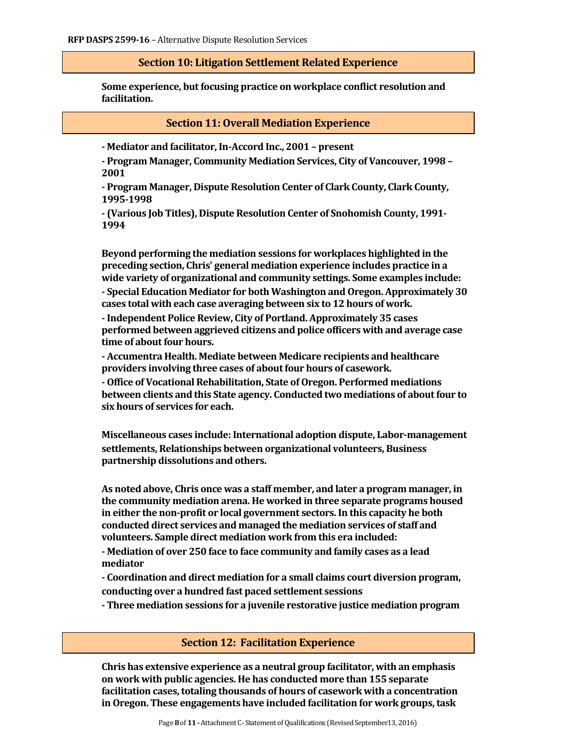#### **Section 10: Litigation Settlement Related Experience**

**Some experience, but focusing practice on workplace conflict resolution and facilitation.** 

#### **Section 11: Overall Mediation Experience**

**- Mediator and facilitator, In-Accord Inc., 2001 – present**

**- Program Manager, Community Mediation Services, City of Vancouver, 1998 – 2001**

**- Program Manager, Dispute Resolution Center of Clark County, Clark County, 1995-1998**

**- (Various Job Titles), Dispute Resolution Center of Snohomish County, 1991- 1994**

**Beyond performing the mediation sessions for workplaces highlighted in the preceding section, Chris' general mediation experience includes practice in a wide variety of organizational and community settings. Some examples include: - Special Education Mediator for both Washington and Oregon. Approximately 30 cases total with each case averaging between six to 12 hours of work.**

**-Independent Police Review, City of Portland. Approximately 35 cases performed between aggrieved citizens and police officers with and average case time of about four hours.**

**- Accumentra Health. Mediate between Medicare recipients and healthcare providers involving three cases of about four hours of casework.**

**- Office of Vocational Rehabilitation, State of Oregon. Performed mediations between clients and this State agency. Conducted two mediations of about four to six hours of services for each.**

**Miscellaneous cases include: International adoption dispute, Labor-management settlements, Relationships between organizational volunteers, Business partnership dissolutions and others.**

**As noted above, Chris once was a staff member, and later a program manager, in the community mediation arena. He worked in three separate programs housed in either the non-profit or local government sectors. In this capacity he both conducted direct services and managed the mediation services of staff and volunteers. Sample direct mediation work from this era included:**

**- Mediation of over 250 face to face community and family cases as a lead mediator**

**- Coordination and direct mediation for a small claims court diversion program, conducting over a hundred fast paced settlement sessions**

**- Three mediation sessions for a juvenile restorative justice mediation program**

#### **Section 12: Facilitation Experience**

**Chris has extensive experience as a neutral group facilitator, with an emphasis on work with public agencies. He has conducted more than 155 separate facilitation cases, totaling thousands of hours of casework with a concentration in Oregon. These engagements have included facilitation for work groups, task**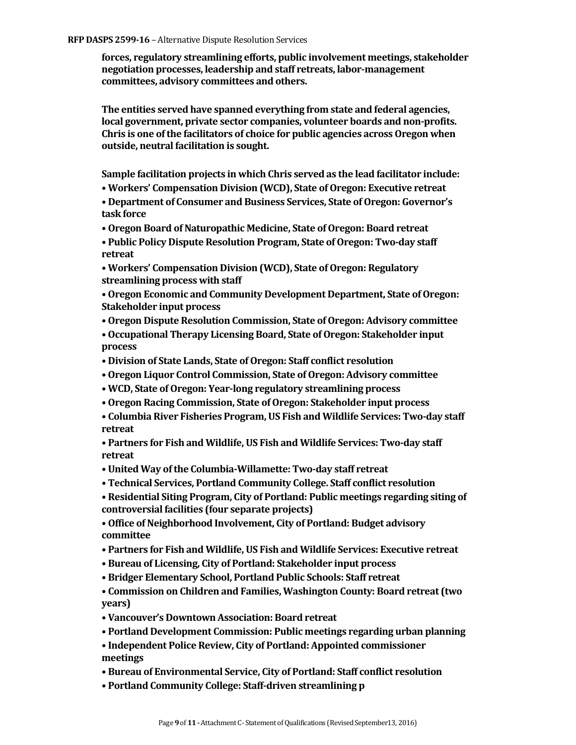**forces, regulatory streamlining efforts, public involvement meetings, stakeholder negotiation processes, leadership and staff retreats, labor-management committees, advisory committees and others.** 

**The entities served have spanned everything from state and federal agencies, local government, private sector companies, volunteer boards and non-profits. Chris is one of the facilitators of choice for public agencies across Oregon when outside, neutral facilitation is sought.** 

**Sample facilitation projects in which Chris served as the lead facilitator include:**

**• Workers' Compensation Division (WCD), State of Oregon: Executive retreat**

**• Department of Consumer and Business Services, State of Oregon: Governor's task force**

**• Oregon Board of Naturopathic Medicine, State of Oregon: Board retreat**

**• Public Policy Dispute Resolution Program, State of Oregon: Two-day staff retreat**

**• Workers' Compensation Division (WCD), State of Oregon: Regulatory streamlining process with staff**

**• Oregon Economic and Community Development Department, State of Oregon: Stakeholder input process**

**• Oregon Dispute Resolution Commission, State of Oregon: Advisory committee**

**• Occupational Therapy Licensing Board, State of Oregon: Stakeholder input process**

- **Division of State Lands, State of Oregon: Staff conflict resolution**
- **Oregon Liquor Control Commission, State of Oregon: Advisory committee**
- **WCD, State of Oregon: Year-long regulatory streamlining process**
- **Oregon Racing Commission, State of Oregon: Stakeholder input process**
- **Columbia River Fisheries Program, US Fish and Wildlife Services: Two-day staff retreat**

**• Partners for Fish and Wildlife, US Fish and Wildlife Services: Two-day staff retreat**

- **United Way of the Columbia-Willamette: Two-day staff retreat**
- **Technical Services, Portland Community College. Staff conflict resolution**

**• Residential Siting Program, City of Portland: Public meetings regarding siting of controversial facilities (four separate projects)**

**• Office of Neighborhood Involvement, City of Portland: Budget advisory committee**

- **Partners for Fish and Wildlife, US Fish and Wildlife Services: Executive retreat**
- **Bureau of Licensing, City of Portland: Stakeholder input process**
- **Bridger Elementary School, Portland Public Schools: Staff retreat**

**• Commission on Children and Families, Washington County: Board retreat (two years)**

- **Vancouver's Downtown Association: Board retreat**
- **Portland Development Commission: Public meetings regarding urban planning**

**• Independent Police Review, City of Portland: Appointed commissioner meetings**

**• Bureau of Environmental Service, City of Portland: Staff conflict resolution**

**• Portland Community College: Staff-driven streamlining p**